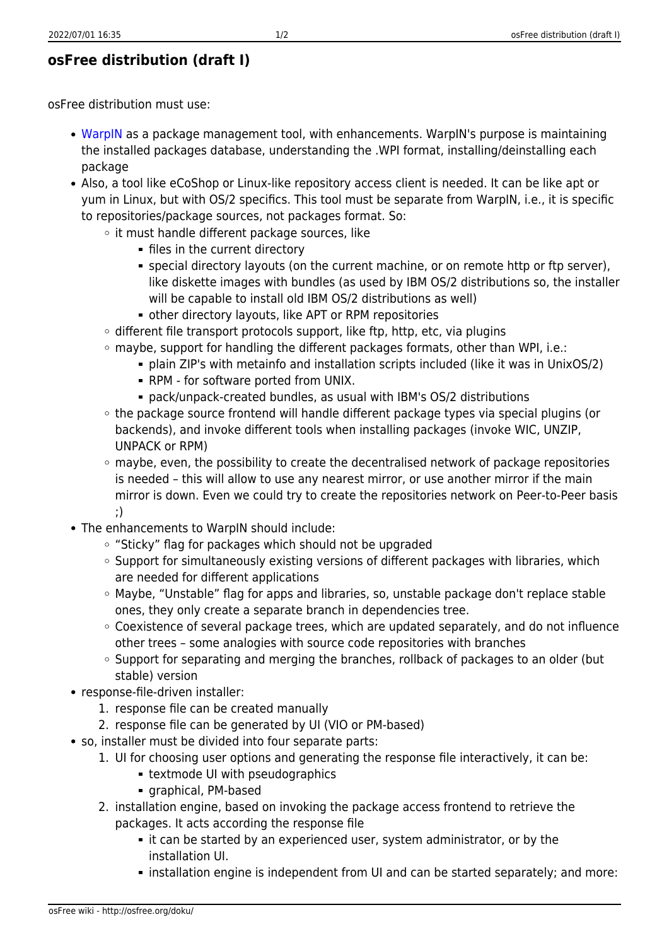## **osFree distribution (draft I)**

osFree distribution must use:

- [WarpIN](http://osfree.org/doku/en:docs:warpin) as a package management tool, with enhancements. WarpIN's purpose is maintaining the installed packages database, understanding the .WPI format, installing/deinstalling each package
- Also, a tool like eCoShop or Linux-like repository access client is needed. It can be like apt or yum in Linux, but with OS/2 specifics. This tool must be separate from WarpIN, i.e., it is specific to repositories/package sources, not packages format. So:
	- $\circ$  it must handle different package sources, like
		- **files in the current directory**
		- special directory layouts (on the current machine, or on remote http or ftp server), like diskette images with bundles (as used by IBM OS/2 distributions so, the installer will be capable to install old IBM OS/2 distributions as well)
		- other directory layouts, like APT or RPM repositories
	- $\circ$  different file transport protocols support, like ftp, http, etc, via plugins
	- maybe, support for handling the different packages formats, other than WPI, i.e.:
		- plain ZIP's with metainfo and installation scripts included (like it was in UnixOS/2)
		- RPM for software ported from UNIX.
		- pack/unpack-created bundles, as usual with IBM's OS/2 distributions
	- the package source frontend will handle different package types via special plugins (or backends), and invoke different tools when installing packages (invoke WIC, UNZIP, UNPACK or RPM)
	- maybe, even, the possibility to create the decentralised network of package repositories is needed – this will allow to use any nearest mirror, or use another mirror if the main mirror is down. Even we could try to create the repositories network on Peer-to-Peer basis ;)
- The enhancements to WarpIN should include:
	- "Sticky" flag for packages which should not be upgraded
	- $\circ$  Support for simultaneously existing versions of different packages with libraries, which are needed for different applications
	- Maybe, "Unstable" flag for apps and libraries, so, unstable package don't replace stable ones, they only create a separate branch in dependencies tree.
	- $\circ$  Coexistence of several package trees, which are updated separately, and do not influence other trees – some analogies with source code repositories with branches
	- $\circ$  Support for separating and merging the branches, rollback of packages to an older (but stable) version
- response-file-driven installer:
	- 1. response file can be created manually
	- 2. response file can be generated by UI (VIO or PM-based)
- so, installer must be divided into four separate parts:
	- 1. UI for choosing user options and generating the response file interactively, it can be:
		- **Extmode UI with pseudographics**
		- graphical, PM-based
	- 2. installation engine, based on invoking the package access frontend to retrieve the packages. It acts according the response file
		- it can be started by an experienced user, system administrator, or by the installation UI.
		- installation engine is independent from UI and can be started separately; and more: